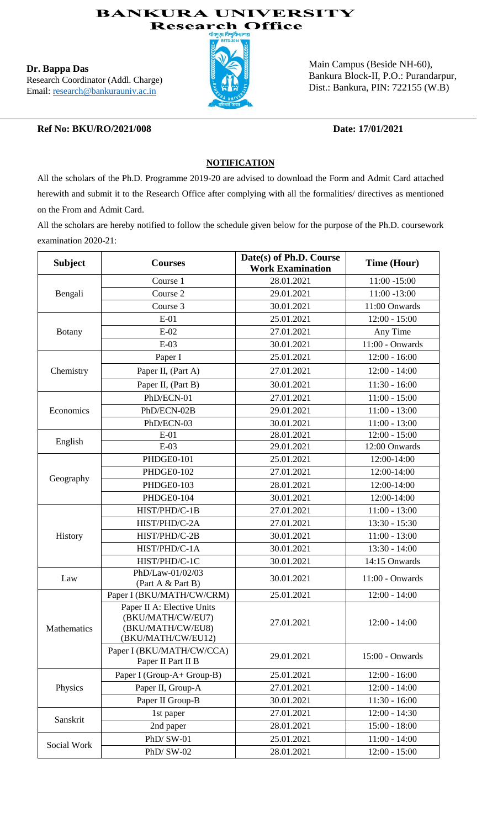### **BANKURA UNIVERSITY Research Office**

**Dr. Bappa Das** Research Coordinator (Addl. Charge) Email: research@bankurauniv.ac.in



Main Campus (Beside NH-60), Bankura Block-II, P.O.: Purandarpur, Dist.: Bankura, PIN: 722155 (W.B)

### **Ref No: BKU/RO/2021/008 Date: 17/01/2021**

### **NOTIFICATION**

All the scholars of the Ph.D. Programme 2019-20 are advised to download the Form and Admit Card attached herewith and submit it to the Research Office after complying with all the formalities/ directives as mentioned on the From and Admit Card.

All the scholars are hereby notified to follow the schedule given below for the purpose of the Ph.D. coursework examination 2020-21:

| <b>Subject</b> | <b>Courses</b>                                                                             | Date(s) of Ph.D. Course<br><b>Work Examination</b> | Time (Hour)     |  |
|----------------|--------------------------------------------------------------------------------------------|----------------------------------------------------|-----------------|--|
|                | Course 1                                                                                   | 28.01.2021                                         | $11:00 - 15:00$ |  |
| Bengali        | Course 2                                                                                   | 29.01.2021                                         | 11:00 -13:00    |  |
|                | Course 3                                                                                   | 30.01.2021                                         | 11:00 Onwards   |  |
|                | $E-01$                                                                                     | 25.01.2021                                         | $12:00 - 15:00$ |  |
| <b>Botany</b>  | $E-02$                                                                                     | 27.01.2021                                         | Any Time        |  |
|                | $E-03$                                                                                     | 30.01.2021                                         | 11:00 - Onwards |  |
| Chemistry      | Paper I                                                                                    | 25.01.2021                                         | $12:00 - 16:00$ |  |
|                | Paper II, (Part A)                                                                         | 27.01.2021                                         | $12:00 - 14:00$ |  |
|                | Paper II, (Part B)                                                                         | 30.01.2021                                         | $11:30 - 16:00$ |  |
|                | PhD/ECN-01                                                                                 | 27.01.2021                                         | $11:00 - 15:00$ |  |
| Economics      | PhD/ECN-02B                                                                                | 29.01.2021                                         | $11:00 - 13:00$ |  |
|                | PhD/ECN-03                                                                                 | 30.01.2021                                         | $11:00 - 13:00$ |  |
| English        | $E-01$                                                                                     | 28.01.2021                                         | $12:00 - 15:00$ |  |
|                | $E-03$                                                                                     | 29.01.2021                                         | 12:00 Onwards   |  |
|                | PHDGE0-101                                                                                 | 25.01.2021                                         | 12:00-14:00     |  |
| Geography      | PHDGE0-102                                                                                 | 27.01.2021                                         | 12:00-14:00     |  |
|                | PHDGE0-103                                                                                 | 28.01.2021                                         | 12:00-14:00     |  |
|                | PHDGE0-104                                                                                 | 30.01.2021                                         | 12:00-14:00     |  |
|                | HIST/PHD/C-1B                                                                              | 27.01.2021                                         | $11:00 - 13:00$ |  |
|                | HIST/PHD/C-2A                                                                              | 27.01.2021                                         | $13:30 - 15:30$ |  |
| History        | HIST/PHD/C-2B                                                                              | 30.01.2021                                         | $11:00 - 13:00$ |  |
|                | HIST/PHD/C-1A                                                                              | 30.01.2021                                         | $13:30 - 14:00$ |  |
|                | HIST/PHD/C-1C                                                                              | 30.01.2021                                         | 14:15 Onwards   |  |
| Law            | PhD/Law-01/02/03<br>(Part A & Part B)                                                      | 30.01.2021                                         | 11:00 - Onwards |  |
|                | Paper I (BKU/MATH/CW/CRM)                                                                  | 25.01.2021                                         | $12:00 - 14:00$ |  |
| Mathematics    | Paper II A: Elective Units<br>(BKU/MATH/CW/EU7)<br>(BKU/MATH/CW/EU8)<br>(BKU/MATH/CW/EU12) | 27.01.2021                                         | $12:00 - 14:00$ |  |
|                | Paper I (BKU/MATH/CW/CCA)<br>Paper II Part II B                                            | 29.01.2021                                         | 15:00 - Onwards |  |
|                | Paper I (Group-A+ Group-B)                                                                 | 25.01.2021                                         | $12:00 - 16:00$ |  |
| Physics        | Paper II, Group-A                                                                          | 27.01.2021                                         | $12:00 - 14:00$ |  |
|                | Paper II Group-B                                                                           | 30.01.2021                                         | $11:30 - 16:00$ |  |
| Sanskrit       | 1st paper                                                                                  | 27.01.2021                                         | $12:00 - 14:30$ |  |
|                | 2nd paper                                                                                  | 28.01.2021                                         | $15:00 - 18:00$ |  |
| Social Work    | PhD/SW-01                                                                                  | 25.01.2021                                         | $11:00 - 14:00$ |  |
|                | PhD/SW-02                                                                                  | 28.01.2021                                         | $12:00 - 15:00$ |  |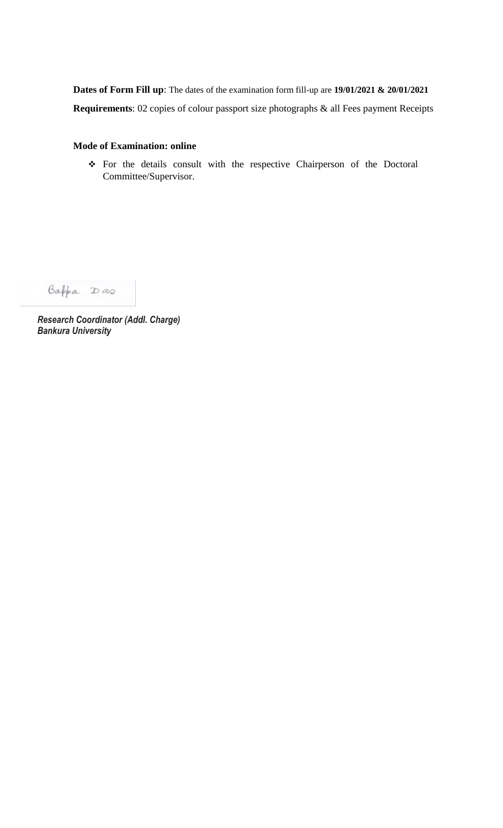**Dates of Form Fill up**: The dates of the examination form fill-up are **19/01/2021 & 20/01/2021 Requirements**: 02 copies of colour passport size photographs & all Fees payment Receipts

### **Mode of Examination: online**

 For the details consult with the respective Chairperson of the Doctoral Committee/Supervisor.

Bappa Das

*Research Coordinator (Addl. Charge) Bankura University*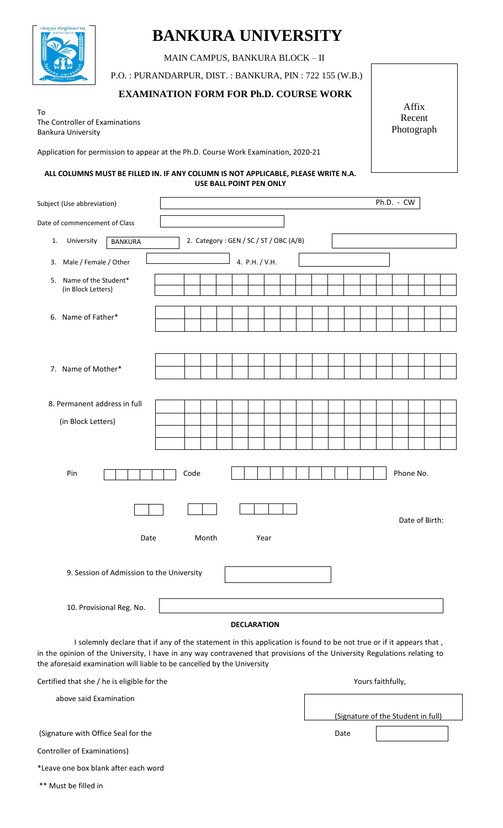

# **BANKURA UNIVERSITY**

MAIN CAMPUS, BANKURA BLOCK – II

P.O. : PURANDARPUR, DIST. : BANKURA, PIN : 722 155 (W.B.)

### **EXAMINATION FORM FOR Ph.D. COURSE WORK**

To The Controller of Examinations Bankura University

Application for permission to appear at the Ph.D. Course Work Examination, 2020-21

#### **ALL COLUMNS MUST BE FILLED IN. IF ANY COLUMN IS NOT APPLICABLE, PLEASE WRITE N.A. USE BALL POINT PEN ONLY**

| Subject (Use abbreviation)                         |       |                                        | Ph.D. - CW |                |
|----------------------------------------------------|-------|----------------------------------------|------------|----------------|
| Date of commencement of Class                      |       |                                        |            |                |
| University<br>1.<br><b>BANKURA</b>                 |       | 2. Category: GEN / SC / ST / OBC (A/B) |            |                |
| Male / Female / Other<br>3.                        |       | 4. P.H. / V.H.                         |            |                |
| Name of the Student*<br>5.<br>(in Block Letters)   |       |                                        |            |                |
| 6. Name of Father*                                 |       |                                        |            |                |
| 7. Name of Mother*                                 |       |                                        |            |                |
| 8. Permanent address in full<br>(in Block Letters) |       |                                        |            |                |
| Pin                                                | Code  |                                        |            | Phone No.      |
|                                                    |       |                                        |            | Date of Birth: |
| Date                                               | Month | Year                                   |            |                |
| 9. Session of Admission to the University          |       |                                        |            |                |
| 10. Provisional Reg. No.                           |       |                                        |            |                |
|                                                    |       | <b>DECLARATION</b>                     |            |                |
|                                                    |       |                                        |            |                |

 I solemnly declare that if any of the statement in this application is found to be not true or if it appears that , in the opinion of the University, I have in any way contravened that provisions of the University Regulations relating to the aforesaid examination will liable to be cancelled by the University

| Certified that she / he is eligible for the | Yours faithfully,                  |
|---------------------------------------------|------------------------------------|
| above said Examination                      |                                    |
|                                             | (Signature of the Student in full) |
| (Signature with Office Seal for the         | Date                               |
| Controller of Examinations)                 |                                    |
| *Leave one box blank after each word        |                                    |
| ** Must be filled in                        |                                    |

Affix Recent Photograph